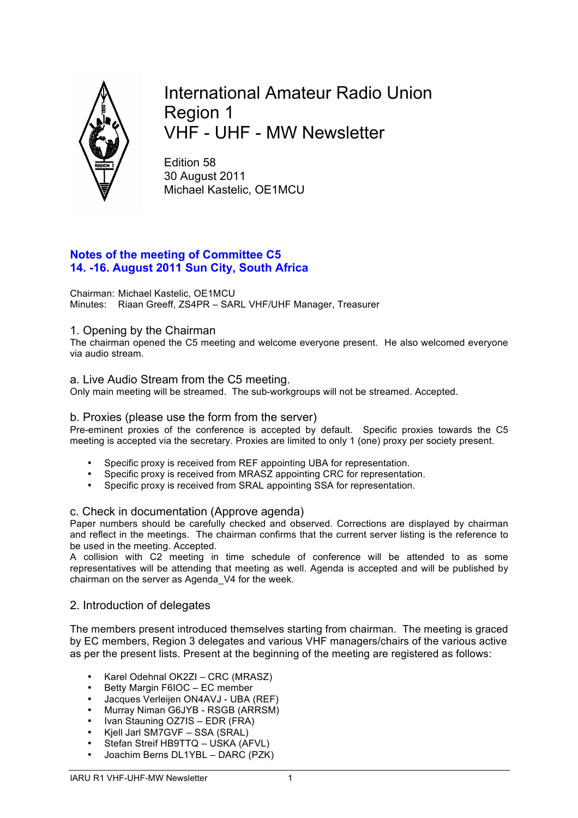

International Amateur Radio Union Region 1 VHF - UHF - MW Newsletter

Edition 58 30 August 2011 Michael Kastelic, OE1MCU

# **Notes of the meeting of Committee C5 14. -16. August 2011 Sun City, South Africa**

Chairman: Michael Kastelic, OE1MCU Minutes: Riaan Greeff, ZS4PR – SARL VHF/UHF Manager, Treasurer

# 1. Opening by the Chairman

The chairman opened the C5 meeting and welcome everyone present. He also welcomed everyone via audio stream.

# a. Live Audio Stream from the C5 meeting.

Only main meeting will be streamed. The sub-workgroups will not be streamed. Accepted.

# b. Proxies (please use the form from the server)

Pre-eminent proxies of the conference is accepted by default. Specific proxies towards the C5 meeting is accepted via the secretary. Proxies are limited to only 1 (one) proxy per society present.

- Specific proxy is received from REF appointing UBA for representation.
- Specific proxy is received from MRASZ appointing CRC for representation.
- Specific proxy is received from SRAL appointing SSA for representation.

# c. Check in documentation (Approve agenda)

Paper numbers should be carefully checked and observed. Corrections are displayed by chairman and reflect in the meetings. The chairman confirms that the current server listing is the reference to be used in the meeting. Accepted.

A collision with C2 meeting in time schedule of conference will be attended to as some representatives will be attending that meeting as well. Agenda is accepted and will be published by chairman on the server as Agenda\_V4 for the week.

# 2. Introduction of delegates

The members present introduced themselves starting from chairman. The meeting is graced by EC members, Region 3 delegates and various VHF managers/chairs of the various active as per the present lists. Present at the beginning of the meeting are registered as follows:

- Karel Odehnal OK2ZI CRC (MRASZ)
- Betty Margin F6IOC EC member
- Jacques Verleijen ON4AVJ UBA (REF)
- Murray Niman G6JYB RSGB (ARRSM)
- Ivan Stauning OZ7IS EDR (FRA)
- Kjell Jarl SM7GVF SSA (SRAL)
- Stefan Streif HB9TTQ USKA (AFVL)
- Joachim Berns DL1YBL DARC (PZK)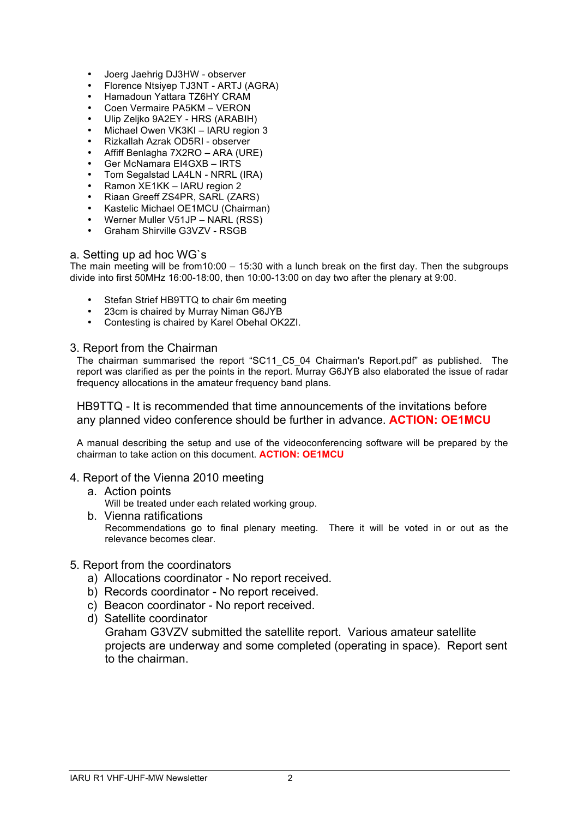- Joerg Jaehrig DJ3HW observer
- Florence Ntsiyep TJ3NT ARTJ (AGRA)
- Hamadoun Yattara TZ6HY CRAM
- Coen Vermaire PA5KM VERON
- Ulip Zeljko 9A2EY HRS (ARABIH)
- Michael Owen VK3KI IARU region 3
- Rizkallah Azrak OD5RI observer
- Affiff Benlagha 7X2RO ARA (URE)
- Ger McNamara EI4GXB IRTS
- Tom Segalstad LA4LN NRRL (IRA)
- Ramon XE1KK IARU region 2
- Riaan Greeff ZS4PR, SARL (ZARS)
- Kastelic Michael OE1MCU (Chairman)
- Werner Muller V51JP NARL (RSS)
- Graham Shirville G3VZV RSGB

### a. Setting up ad hoc WG`s

The main meeting will be from10:00 – 15:30 with a lunch break on the first day. Then the subgroups divide into first 50MHz 16:00-18:00, then 10:00-13:00 on day two after the plenary at 9:00.

- Stefan Strief HB9TTQ to chair 6m meeting
- 23cm is chaired by Murray Niman G6JYB
- Contesting is chaired by Karel Obehal OK2ZI.

# 3. Report from the Chairman

The chairman summarised the report "SC11\_C5\_04 Chairman's Report.pdf" as published. The report was clarified as per the points in the report. Murray G6JYB also elaborated the issue of radar frequency allocations in the amateur frequency band plans.

# HB9TTQ - It is recommended that time announcements of the invitations before any planned video conference should be further in advance. **ACTION: OE1MCU**

A manual describing the setup and use of the videoconferencing software will be prepared by the chairman to take action on this document. **ACTION: OE1MCU**

# 4. Report of the Vienna 2010 meeting

- a. Action points Will be treated under each related working group.
- b. Vienna ratifications Recommendations go to final plenary meeting. There it will be voted in or out as the relevance becomes clear.

# 5. Report from the coordinators

- a) Allocations coordinator No report received.
- b) Records coordinator No report received.
- c) Beacon coordinator No report received.
- d) Satellite coordinator

Graham G3VZV submitted the satellite report. Various amateur satellite projects are underway and some completed (operating in space). Report sent to the chairman.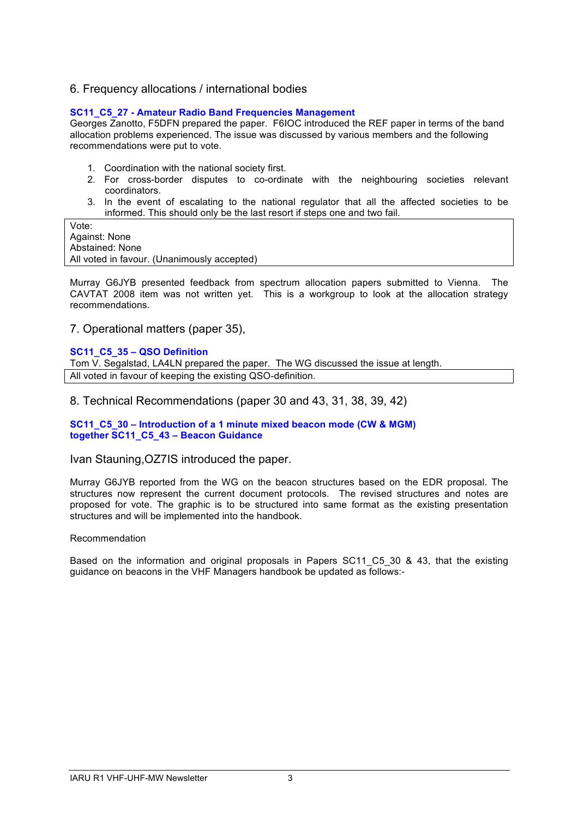# 6. Frequency allocations / international bodies

### **SC11\_C5\_27 - Amateur Radio Band Frequencies Management**

Georges Zanotto, F5DFN prepared the paper. F6IOC introduced the REF paper in terms of the band allocation problems experienced. The issue was discussed by various members and the following recommendations were put to vote.

- 1. Coordination with the national society first.
- 2. For cross-border disputes to co-ordinate with the neighbouring societies relevant coordinators.
- 3. In the event of escalating to the national regulator that all the affected societies to be informed. This should only be the last resort if steps one and two fail.

Vote: Against: None Abstained: None All voted in favour. (Unanimously accepted)

Murray G6JYB presented feedback from spectrum allocation papers submitted to Vienna. The CAVTAT 2008 item was not written yet. This is a workgroup to look at the allocation strategy recommendations.

7. Operational matters (paper 35),

#### **SC11\_C5\_35 – QSO Definition**

Tom V. Segalstad, LA4LN prepared the paper. The WG discussed the issue at length. All voted in favour of keeping the existing QSO-definition.

8. Technical Recommendations (paper 30 and 43, 31, 38, 39, 42)

**SC11\_C5\_30 – Introduction of a 1 minute mixed beacon mode (CW & MGM) together SC11\_C5\_43 – Beacon Guidance**

### Ivan Stauning,OZ7IS introduced the paper.

Murray G6JYB reported from the WG on the beacon structures based on the EDR proposal. The structures now represent the current document protocols. The revised structures and notes are proposed for vote. The graphic is to be structured into same format as the existing presentation structures and will be implemented into the handbook.

#### Recommendation

Based on the information and original proposals in Papers SC11 C5 30 & 43, that the existing guidance on beacons in the VHF Managers handbook be updated as follows:-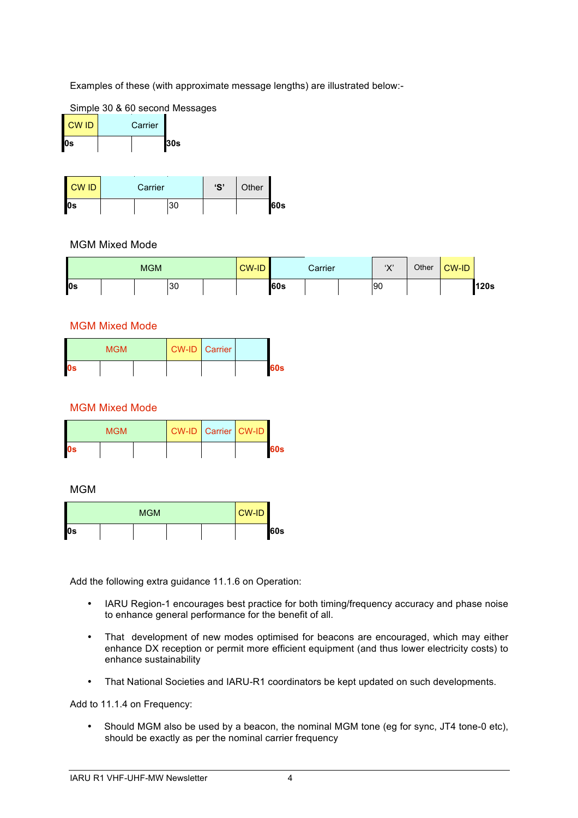Examples of these (with approximate message lengths) are illustrated below:-



| <b>CWID</b> | Carrier |     |
|-------------|---------|-----|
| l0s         |         | 30s |

| CW ID | Carrier |  | 'S' | Other |  |      |
|-------|---------|--|-----|-------|--|------|
| l0s   |         |  | 30  |       |  | l60s |

# MGM Mixed Mode

|        | <b>MGM</b> |    | <b>CW-ID</b> |             | Carrier | $\mathbf{W}$<br>∧ | Other | <b>CW-ID</b> |      |
|--------|------------|----|--------------|-------------|---------|-------------------|-------|--------------|------|
| $\log$ |            | 30 |              | <b>160s</b> |         | 90                |       |              | 120s |

# MGM Mixed Mode

| <b>MGM</b>             |  |  | <b>CW-ID</b> Carrier |  |     |
|------------------------|--|--|----------------------|--|-----|
| $\mathbf{0}\mathbf{s}$ |  |  |                      |  | 60s |

# MGM Mixed Mode

| <b>MGM</b> |  |  | <b>CW-ID Carrier CW-ID</b> |  |     |
|------------|--|--|----------------------------|--|-----|
| l0s        |  |  |                            |  | 60s |

# MGM

|    | <b>CW-ID</b><br><b>MGM</b> |  |  |  |  |     |
|----|----------------------------|--|--|--|--|-----|
| 0s |                            |  |  |  |  | 60s |

Add the following extra guidance 11.1.6 on Operation:

- IARU Region-1 encourages best practice for both timing/frequency accuracy and phase noise to enhance general performance for the benefit of all.
- That development of new modes optimised for beacons are encouraged, which may either enhance DX reception or permit more efficient equipment (and thus lower electricity costs) to enhance sustainability
- That National Societies and IARU-R1 coordinators be kept updated on such developments.

Add to 11.1.4 on Frequency:

• Should MGM also be used by a beacon, the nominal MGM tone (eg for sync, JT4 tone-0 etc), should be exactly as per the nominal carrier frequency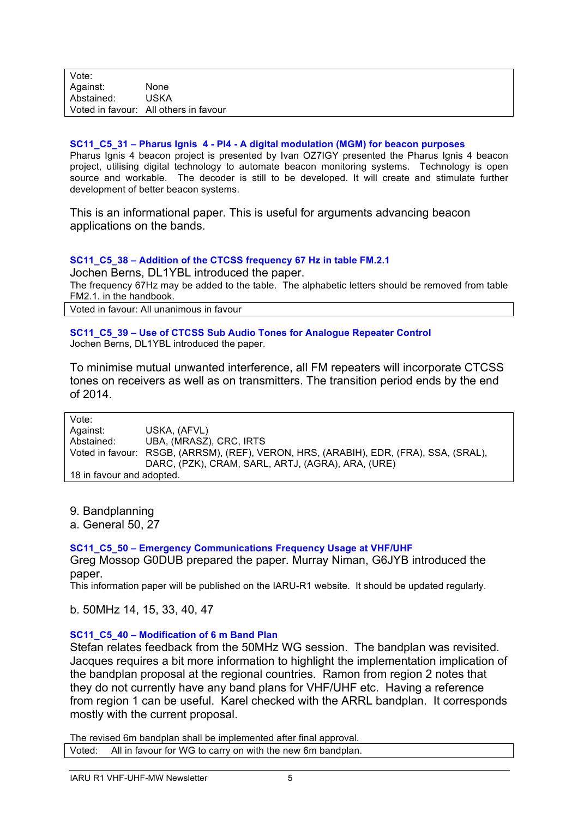### **SC11\_C5\_31 – Pharus Ignis 4 - PI4 - A digital modulation (MGM) for beacon purposes**

Pharus Ignis 4 beacon project is presented by Ivan OZ7IGY presented the Pharus Ignis 4 beacon project, utilising digital technology to automate beacon monitoring systems. Technology is open source and workable. The decoder is still to be developed. It will create and stimulate further development of better beacon systems.

This is an informational paper. This is useful for arguments advancing beacon applications on the bands.

### **SC11\_C5\_38 – Addition of the CTCSS frequency 67 Hz in table FM.2.1**

Jochen Berns, DL1YBL introduced the paper. The frequency 67Hz may be added to the table. The alphabetic letters should be removed from table FM2.1. in the handbook.

Voted in favour: All unanimous in favour

#### **SC11\_C5\_39 – Use of CTCSS Sub Audio Tones for Analogue Repeater Control** Jochen Berns, DL1YBL introduced the paper.

To minimise mutual unwanted interference, all FM repeaters will incorporate CTCSS tones on receivers as well as on transmitters. The transition period ends by the end of 2014.

| Vote:                     |                                                                                       |  |  |  |
|---------------------------|---------------------------------------------------------------------------------------|--|--|--|
| Against:                  | USKA. (AFVL)                                                                          |  |  |  |
| Abstained:                | UBA, (MRASZ), CRC, IRTS                                                               |  |  |  |
|                           | Voted in favour: RSGB, (ARRSM), (REF), VERON, HRS, (ARABIH), EDR, (FRA), SSA, (SRAL), |  |  |  |
|                           | DARC, (PZK), CRAM, SARL, ARTJ, (AGRA), ARA, (URE)                                     |  |  |  |
| 18 in favour and adopted. |                                                                                       |  |  |  |

9. Bandplanning

a. General 50, 27

# **SC11\_C5\_50 – Emergency Communications Frequency Usage at VHF/UHF**

Greg Mossop G0DUB prepared the paper. Murray Niman, G6JYB introduced the paper.

This information paper will be published on the IARU-R1 website. It should be updated regularly.

b. 50MHz 14, 15, 33, 40, 47

# **SC11\_C5\_40 – Modification of 6 m Band Plan**

Stefan relates feedback from the 50MHz WG session. The bandplan was revisited. Jacques requires a bit more information to highlight the implementation implication of the bandplan proposal at the regional countries. Ramon from region 2 notes that they do not currently have any band plans for VHF/UHF etc. Having a reference from region 1 can be useful. Karel checked with the ARRL bandplan. It corresponds mostly with the current proposal.

The revised 6m bandplan shall be implemented after final approval.

Voted: All in favour for WG to carry on with the new 6m bandplan.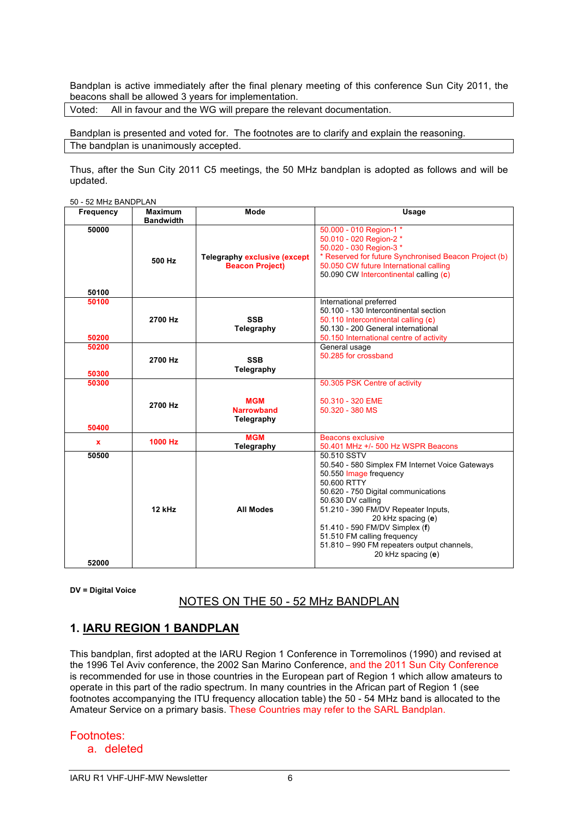Bandplan is active immediately after the final plenary meeting of this conference Sun City 2011, the beacons shall be allowed 3 years for implementation.

Voted: All in favour and the WG will prepare the relevant documentation.

Bandplan is presented and voted for. The footnotes are to clarify and explain the reasoning. The bandplan is unanimously accepted.

Thus, after the Sun City 2011 C5 meetings, the 50 MHz bandplan is adopted as follows and will be updated.

50 - 52 MHz BANDPLAN

| Frequency      | <b>Maximum</b>   | Mode                                | Usage                                                                     |
|----------------|------------------|-------------------------------------|---------------------------------------------------------------------------|
| 50000          | <b>Bandwidth</b> |                                     | 50.000 - 010 Region-1*                                                    |
|                |                  |                                     | 50.010 - 020 Region-2 *                                                   |
|                |                  |                                     | 50.020 - 030 Region-3 *                                                   |
|                | 500 Hz           | <b>Telegraphy exclusive (except</b> | * Reserved for future Synchronised Beacon Project (b)                     |
|                |                  | <b>Beacon Project)</b>              | 50.050 CW future International calling                                    |
|                |                  |                                     | 50.090 CW Intercontinental calling (c)                                    |
| 50100          |                  |                                     |                                                                           |
| 50100          |                  |                                     | International preferred                                                   |
|                |                  |                                     | 50.100 - 130 Intercontinental section                                     |
|                | 2700 Hz          | <b>SSB</b>                          | 50.110 Intercontinental calling (c)                                       |
|                |                  | Telegraphy                          | 50.130 - 200 General international                                        |
| 50200<br>50200 |                  |                                     | 50.150 International centre of activity                                   |
|                |                  |                                     | General usage<br>50.285 for crossband                                     |
|                | 2700 Hz          | <b>SSB</b>                          |                                                                           |
| 50300          |                  | Telegraphy                          |                                                                           |
| 50300          |                  |                                     | 50.305 PSK Centre of activity                                             |
|                |                  |                                     |                                                                           |
|                | 2700 Hz          | <b>MGM</b><br><b>Narrowband</b>     | 50.310 - 320 EME<br>50.320 - 380 MS                                       |
|                |                  | Telegraphy                          |                                                                           |
| 50400          |                  |                                     |                                                                           |
| $\mathbf x$    | 1000 Hz          | <b>MGM</b>                          | <b>Beacons exclusive</b>                                                  |
|                |                  | Telegraphy                          | 50.401 MHz +/- 500 Hz WSPR Beacons                                        |
| 50500          |                  |                                     | 50.510 SSTV                                                               |
|                |                  |                                     | 50.540 - 580 Simplex FM Internet Voice Gateways<br>50.550 Image frequency |
|                |                  |                                     | 50.600 RTTY                                                               |
|                |                  |                                     | 50.620 - 750 Digital communications                                       |
|                |                  |                                     | 50.630 DV calling                                                         |
|                | 12 kHz           | <b>All Modes</b>                    | 51.210 - 390 FM/DV Repeater Inputs,                                       |
|                |                  |                                     | 20 kHz spacing (e)                                                        |
|                |                  |                                     | 51.410 - 590 FM/DV Simplex (f)                                            |
|                |                  |                                     | 51.510 FM calling frequency                                               |
|                |                  |                                     | 51.810 - 990 FM repeaters output channels,<br>20 kHz spacing (e)          |
| 52000          |                  |                                     |                                                                           |

**DV = Digital Voice**

NOTES ON THE 50 - 52 MHz BANDPLAN

# **1. IARU REGION 1 BANDPLAN**

This bandplan, first adopted at the IARU Region 1 Conference in Torremolinos (1990) and revised at the 1996 Tel Aviv conference, the 2002 San Marino Conference, and the 2011 Sun City Conference is recommended for use in those countries in the European part of Region 1 which allow amateurs to operate in this part of the radio spectrum. In many countries in the African part of Region 1 (see footnotes accompanying the ITU frequency allocation table) the 50 - 54 MHz band is allocated to the Amateur Service on a primary basis. These Countries may refer to the SARL Bandplan.

### Footnotes:

a. deleted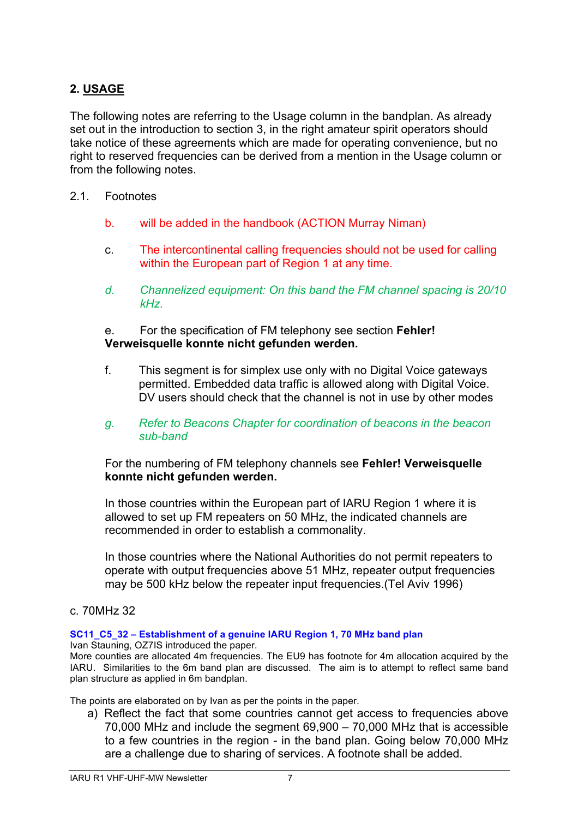# **2. USAGE**

The following notes are referring to the Usage column in the bandplan. As already set out in the introduction to section 3, in the right amateur spirit operators should take notice of these agreements which are made for operating convenience, but no right to reserved frequencies can be derived from a mention in the Usage column or from the following notes.

# 2.1. Footnotes

- b. will be added in the handbook (ACTION Murray Niman)
- c. The intercontinental calling frequencies should not be used for calling within the European part of Region 1 at any time.
- *d. Channelized equipment: On this band the FM channel spacing is 20/10 kHz.*

# e. For the specification of FM telephony see section **Fehler! Verweisquelle konnte nicht gefunden werden.**

f. This segment is for simplex use only with no Digital Voice gateways permitted. Embedded data traffic is allowed along with Digital Voice. DV users should check that the channel is not in use by other modes

# *g. Refer to Beacons Chapter for coordination of beacons in the beacon sub-band*

For the numbering of FM telephony channels see **Fehler! Verweisquelle konnte nicht gefunden werden.**

In those countries within the European part of IARU Region 1 where it is allowed to set up FM repeaters on 50 MHz, the indicated channels are recommended in order to establish a commonality.

In those countries where the National Authorities do not permit repeaters to operate with output frequencies above 51 MHz, repeater output frequencies may be 500 kHz below the repeater input frequencies.(Tel Aviv 1996)

# c. 70MHz 32

# **SC11\_C5\_32 – Establishment of a genuine IARU Region 1, 70 MHz band plan**

Ivan Stauning, OZ7IS introduced the paper. More counties are allocated 4m frequencies. The EU9 has footnote for 4m allocation acquired by the IARU. Similarities to the 6m band plan are discussed. The aim is to attempt to reflect same band plan structure as applied in 6m bandplan.

The points are elaborated on by Ivan as per the points in the paper.

a) Reflect the fact that some countries cannot get access to frequencies above 70,000 MHz and include the segment 69,900 – 70,000 MHz that is accessible to a few countries in the region - in the band plan. Going below 70,000 MHz are a challenge due to sharing of services. A footnote shall be added.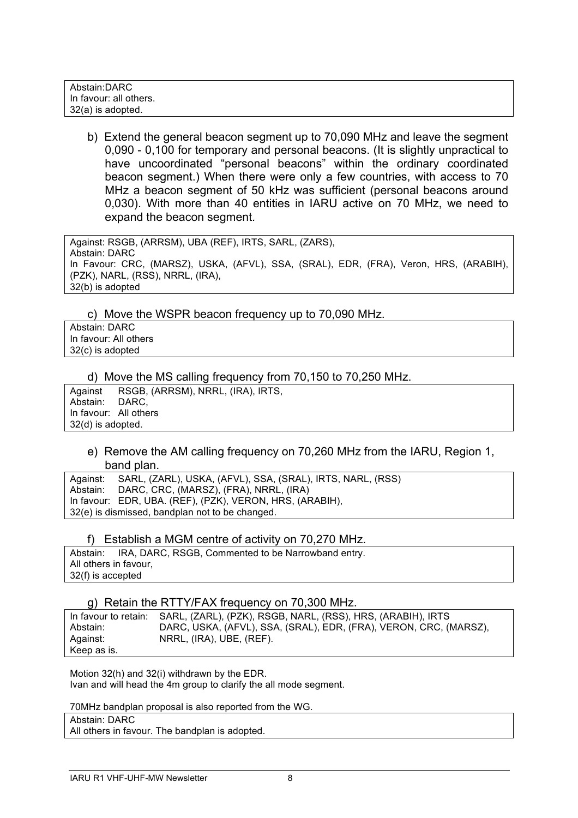| Abstain:DARC           |  |
|------------------------|--|
| In favour: all others. |  |
| 32(a) is adopted.      |  |

b) Extend the general beacon segment up to 70,090 MHz and leave the segment 0,090 - 0,100 for temporary and personal beacons. (It is slightly unpractical to have uncoordinated "personal beacons" within the ordinary coordinated beacon segment.) When there were only a few countries, with access to 70 MHz a beacon segment of 50 kHz was sufficient (personal beacons around 0,030). With more than 40 entities in IARU active on 70 MHz, we need to expand the beacon segment.

Against: RSGB, (ARRSM), UBA (REF), IRTS, SARL, (ZARS), Abstain: DARC In Favour: CRC, (MARSZ), USKA, (AFVL), SSA, (SRAL), EDR, (FRA), Veron, HRS, (ARABIH), (PZK), NARL, (RSS), NRRL, (IRA), 32(b) is adopted

c) Move the WSPR beacon frequency up to 70,090 MHz.

Abstain: DARC In favour: All others 32(c) is adopted

d) Move the MS calling frequency from 70,150 to 70,250 MHz.

Against RSGB, (ARRSM), NRRL, (IRA), IRTS, Abstain: DARC, In favour: All others 32(d) is adopted.

e) Remove the AM calling frequency on 70,260 MHz from the IARU, Region 1, band plan.

Against: SARL, (ZARL), USKA, (AFVL), SSA, (SRAL), IRTS, NARL, (RSS) Abstain: DARC, CRC, (MARSZ), (FRA), NRRL, (IRA) In favour: EDR, UBA. (REF), (PZK), VERON, HRS, (ARABIH), 32(e) is dismissed, bandplan not to be changed.

# f) Establish a MGM centre of activity on 70,270 MHz.

Abstain: IRA, DARC, RSGB, Commented to be Narrowband entry. All others in favour, 32(f) is accepted

g) Retain the RTTY/FAX frequency on 70,300 MHz.

In favour to retain: SARL, (ZARL), (PZK), RSGB, NARL, (RSS), HRS, (ARABIH), IRTS Abstain: DARC, USKA, (AFVL), SSA, (SRAL), EDR, (FRA), VERON, CRC, (MARSZ), Against: NRRL, (IRA), UBE, (REF). Keep as is.

Motion 32(h) and 32(i) withdrawn by the EDR. Ivan and will head the 4m group to clarify the all mode segment.

70MHz bandplan proposal is also reported from the WG.

Abstain: DARC

All others in favour. The bandplan is adopted.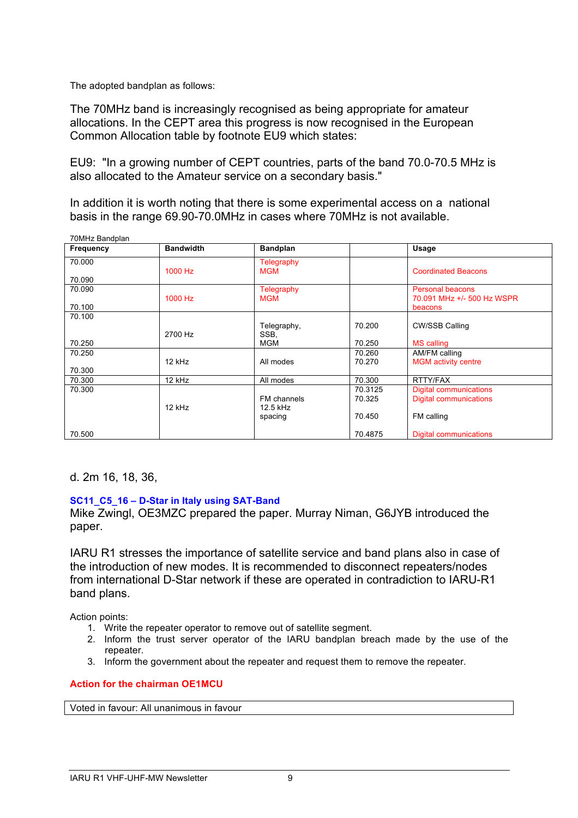The adopted bandplan as follows:

The 70MHz band is increasingly recognised as being appropriate for amateur allocations. In the CEPT area this progress is now recognised in the European Common Allocation table by footnote EU9 which states:

EU9: "In a growing number of CEPT countries, parts of the band 70.0-70.5 MHz is also allocated to the Amateur service on a secondary basis."

In addition it is worth noting that there is some experimental access on a national basis in the range 69.90-70.0MHz in cases where 70MHz is not available.

| TUNINZ Bangpian  |                  |                 |         |                               |
|------------------|------------------|-----------------|---------|-------------------------------|
| <b>Frequency</b> | <b>Bandwidth</b> | <b>Bandplan</b> |         | Usage                         |
| 70.000           |                  | Telegraphy      |         |                               |
|                  | 1000 Hz          | <b>MGM</b>      |         | <b>Coordinated Beacons</b>    |
| 70.090           |                  |                 |         |                               |
| 70.090           |                  | Telegraphy      |         | <b>Personal beacons</b>       |
|                  | 1000 Hz          | <b>MGM</b>      |         | 70.091 MHz +/- 500 Hz WSPR    |
| 70.100           |                  |                 |         | beacons                       |
| 70.100           |                  |                 |         |                               |
|                  |                  | Telegraphy,     | 70.200  | <b>CW/SSB Calling</b>         |
|                  | 2700 Hz          | SSB.            |         |                               |
| 70.250           |                  | <b>MGM</b>      | 70.250  | <b>MS</b> calling             |
| 70.250           |                  |                 | 70.260  | AM/FM calling                 |
|                  | 12 kHz           | All modes       | 70.270  | <b>MGM</b> activity centre    |
| 70.300           |                  |                 |         |                               |
| 70.300           | 12 kHz           | All modes       | 70.300  | RTTY/FAX                      |
| 70.300           |                  |                 | 70.3125 | <b>Digital communications</b> |
|                  |                  | FM channels     | 70.325  | <b>Digital communications</b> |
|                  | 12 kHz           | 12.5 kHz        |         |                               |
|                  |                  | spacing         | 70.450  | FM calling                    |
|                  |                  |                 |         |                               |
| 70.500           |                  |                 | 70.4875 | <b>Digital communications</b> |

d. 2m 16, 18, 36,

 $70$ MHz Bandrich

# **SC11\_C5\_16 – D-Star in Italy using SAT-Band**

Mike Zwingl, OE3MZC prepared the paper. Murray Niman, G6JYB introduced the paper.

IARU R1 stresses the importance of satellite service and band plans also in case of the introduction of new modes. It is recommended to disconnect repeaters/nodes from international D-Star network if these are operated in contradiction to IARU-R1 band plans.

Action points:

- 1. Write the repeater operator to remove out of satellite segment.
- 2. Inform the trust server operator of the IARU bandplan breach made by the use of the repeater.
- 3. Inform the government about the repeater and request them to remove the repeater.

### **Action for the chairman OE1MCU**

Voted in favour: All unanimous in favour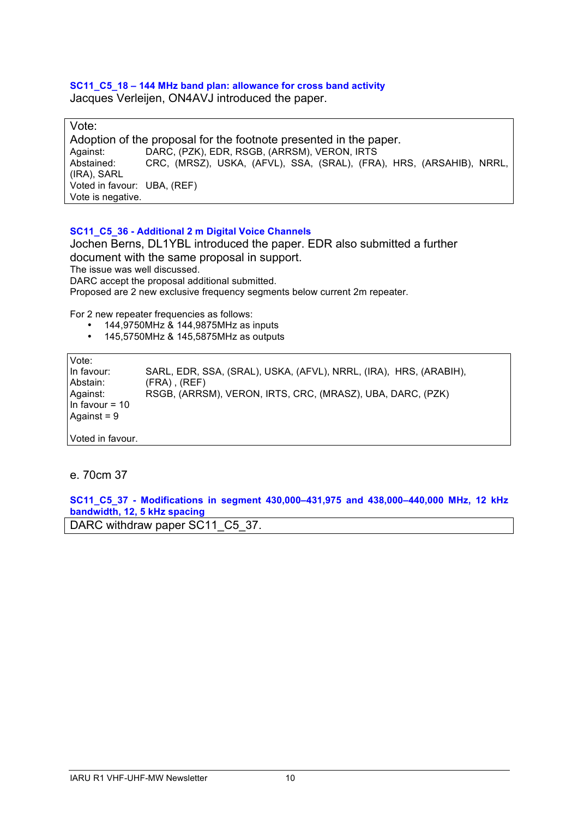### **SC11\_C5\_18 – 144 MHz band plan: allowance for cross band activity** Jacques Verleijen, ON4AVJ introduced the paper.

Vote: Adoption of the proposal for the footnote presented in the paper. Against: DARC, (PZK), EDR, RSGB, (ARRSM), VERON, IRTS Abstained: CRC, (MRSZ), USKA, (AFVL), SSA, (SRAL), (FRA), HRS, (ARSAHIB), NRRL, (IRA), SARL Voted in favour: UBA, (REF) Vote is negative.

# **SC11\_C5\_36 - Additional 2 m Digital Voice Channels**

Jochen Berns, DL1YBL introduced the paper. EDR also submitted a further document with the same proposal in support. The issue was well discussed. DARC accept the proposal additional submitted. Proposed are 2 new exclusive frequency segments below current 2m repeater.

For 2 new repeater frequencies as follows:

- 144,9750MHz & 144,9875MHz as inputs
- 145,5750MHz & 145,5875MHz as outputs

Vote: In favour: SARL, EDR, SSA, (SRAL), USKA, (AFVL), NRRL, (IRA), HRS, (ARABIH), Abstain: (FRA) , (REF) Against: RSGB, (ARRSM), VERON, IRTS, CRC, (MRASZ), UBA, DARC, (PZK) In favour  $= 10$ Against = 9 Voted in favour.

# e. 70cm 37

**SC11\_C5\_37 - Modifications in segment 430,000–431,975 and 438,000–440,000 MHz, 12 kHz bandwidth, 12, 5 kHz spacing**

DARC withdraw paper SC11\_C5\_37.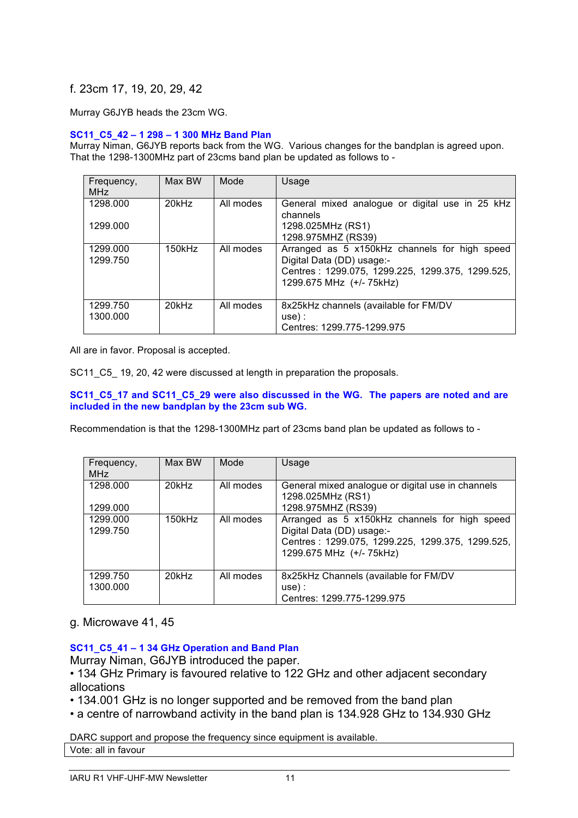# f. 23cm 17, 19, 20, 29, 42

Murray G6JYB heads the 23cm WG.

#### **SC11\_C5\_42 – 1 298 – 1 300 MHz Band Plan**

Murray Niman, G6JYB reports back from the WG. Various changes for the bandplan is agreed upon. That the 1298-1300MHz part of 23cms band plan be updated as follows to -

| Frequency,<br><b>MHz</b> | Max BW      | Mode      | Usage                                                                                                                                                      |
|--------------------------|-------------|-----------|------------------------------------------------------------------------------------------------------------------------------------------------------------|
| 1298.000<br>1299.000     | $20$ k $Hz$ | All modes | General mixed analogue or digital use in 25 kHz<br>channels<br>1298.025MHz (RS1)<br>1298.975MHZ (RS39)                                                     |
| 1299.000<br>1299.750     | 150kHz      | All modes | Arranged as 5 x150kHz channels for high speed<br>Digital Data (DD) usage:-<br>Centres: 1299.075, 1299.225, 1299.375, 1299.525,<br>1299.675 MHz (+/- 75kHz) |
| 1299.750<br>1300.000     | $20$ k $Hz$ | All modes | 8x25kHz channels (available for FM/DV<br>$use)$ :<br>Centres: 1299.775-1299.975                                                                            |

All are in favor. Proposal is accepted.

SC11\_C5\_ 19, 20, 42 were discussed at length in preparation the proposals.

**SC11\_C5\_17 and SC11\_C5\_29 were also discussed in the WG. The papers are noted and are included in the new bandplan by the 23cm sub WG.** 

Recommendation is that the 1298-1300MHz part of 23cms band plan be updated as follows to -

| Frequency,<br><b>MHz</b> | Max BW      | Mode      | Usage                                                                                                                                                      |
|--------------------------|-------------|-----------|------------------------------------------------------------------------------------------------------------------------------------------------------------|
| 1298.000<br>1299.000     | $20$ k $Hz$ | All modes | General mixed analogue or digital use in channels<br>1298.025MHz (RS1)<br>1298.975MHZ (RS39)                                                               |
| 1299.000<br>1299.750     | 150kHz      | All modes | Arranged as 5 x150kHz channels for high speed<br>Digital Data (DD) usage:-<br>Centres: 1299.075, 1299.225, 1299.375, 1299.525,<br>1299.675 MHz (+/- 75kHz) |
| 1299.750<br>1300.000     | $20$ kHz    | All modes | 8x25kHz Channels (available for FM/DV<br>use):<br>Centres: 1299.775-1299.975                                                                               |

# g. Microwave 41, 45

**SC11\_C5\_41 – 1 34 GHz Operation and Band Plan**

Murray Niman, G6JYB introduced the paper.

• 134 GHz Primary is favoured relative to 122 GHz and other adjacent secondary allocations

- 134.001 GHz is no longer supported and be removed from the band plan
- a centre of narrowband activity in the band plan is 134.928 GHz to 134.930 GHz

DARC support and propose the frequency since equipment is available. Vote: all in favour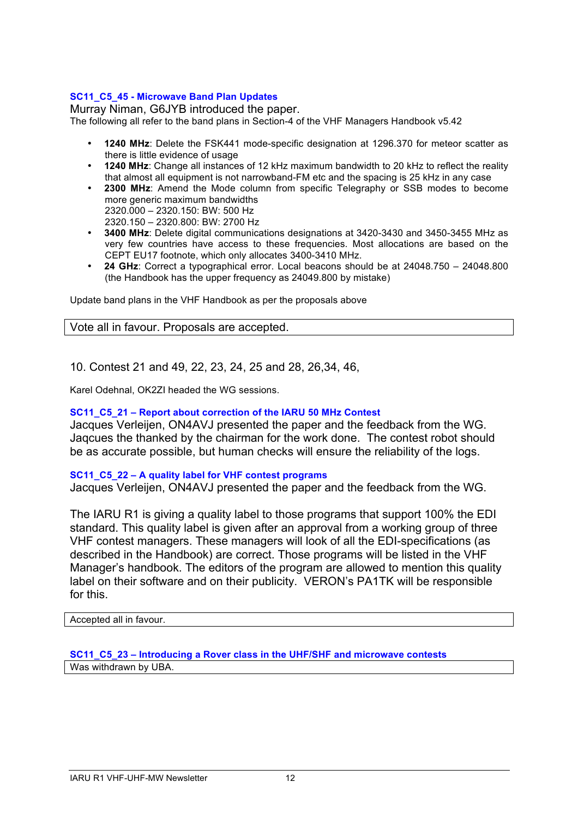# **SC11\_C5\_45 - Microwave Band Plan Updates**

Murray Niman, G6JYB introduced the paper.

The following all refer to the band plans in Section-4 of the VHF Managers Handbook v5.42

- **1240 MHz**: Delete the FSK441 mode-specific designation at 1296.370 for meteor scatter as there is little evidence of usage
- **1240 MHz**: Change all instances of 12 kHz maximum bandwidth to 20 kHz to reflect the reality that almost all equipment is not narrowband-FM etc and the spacing is 25 kHz in any case
- **2300 MHz**: Amend the Mode column from specific Telegraphy or SSB modes to become more generic maximum bandwidths
	- 2320.000 2320.150: BW: 500 Hz
	- 2320.150 2320.800: BW: 2700 Hz
- **3400 MHz**: Delete digital communications designations at 3420-3430 and 3450-3455 MHz as very few countries have access to these frequencies. Most allocations are based on the CEPT EU17 footnote, which only allocates 3400-3410 MHz.
- **24 GHz**: Correct a typographical error. Local beacons should be at 24048.750 24048.800 (the Handbook has the upper frequency as 24049.800 by mistake)

Update band plans in the VHF Handbook as per the proposals above

Vote all in favour. Proposals are accepted.

10. Contest 21 and 49, 22, 23, 24, 25 and 28, 26,34, 46,

Karel Odehnal, OK2ZI headed the WG sessions.

# **SC11\_C5\_21 – Report about correction of the IARU 50 MHz Contest**

Jacques Verleijen, ON4AVJ presented the paper and the feedback from the WG. Jaqcues the thanked by the chairman for the work done. The contest robot should be as accurate possible, but human checks will ensure the reliability of the logs.

### **SC11\_C5\_22 – A quality label for VHF contest programs**

Jacques Verleijen, ON4AVJ presented the paper and the feedback from the WG.

The IARU R1 is giving a quality label to those programs that support 100% the EDI standard. This quality label is given after an approval from a working group of three VHF contest managers. These managers will look of all the EDI-specifications (as described in the Handbook) are correct. Those programs will be listed in the VHF Manager's handbook. The editors of the program are allowed to mention this quality label on their software and on their publicity. VERON's PA1TK will be responsible for this.

### Accepted all in favour.

**SC11\_C5\_23 – Introducing a Rover class in the UHF/SHF and microwave contests** Was withdrawn by UBA.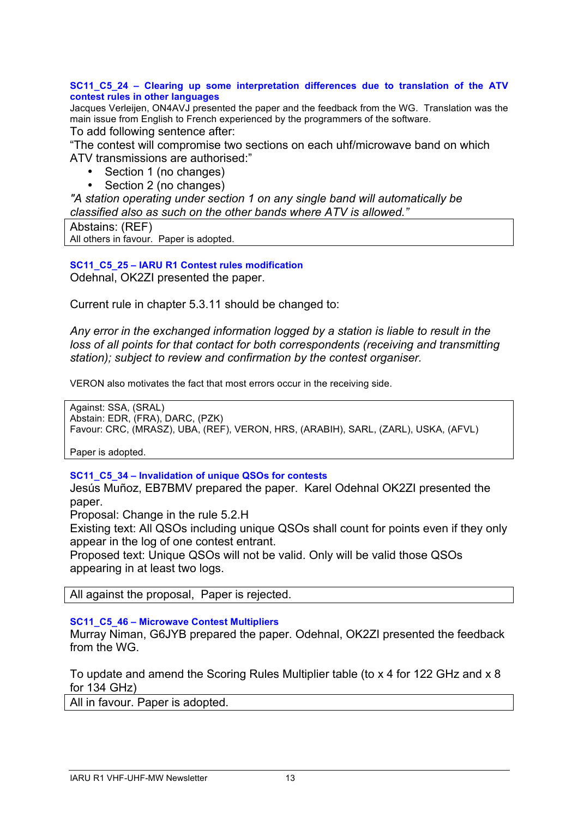### **SC11\_C5\_24 – Clearing up some interpretation differences due to translation of the ATV contest rules in other languages**

Jacques Verleijen, ON4AVJ presented the paper and the feedback from the WG. Translation was the main issue from English to French experienced by the programmers of the software.

To add following sentence after:

"The contest will compromise two sections on each uhf/microwave band on which ATV transmissions are authorised:"

- Section 1 (no changes)<br>• Section 2 (no changes)
- Section 2 (no changes)

*"A station operating under section 1 on any single band will automatically be classified also as such on the other bands where ATV is allowed."*

| Abstains: (REF)                         |  |
|-----------------------------------------|--|
| All others in favour. Paper is adopted. |  |

**SC11\_C5\_25 – IARU R1 Contest rules modification** Odehnal, OK2ZI presented the paper.

Current rule in chapter 5.3.11 should be changed to:

*Any error in the exchanged information logged by a station is liable to result in the loss of all points for that contact for both correspondents (receiving and transmitting loss of all points for that contact for both correspondents (receiving and transmitting loss of all points for that contact for all a station); subject to review and confirmation by the contest organiser.*

VERON also motivates the fact that most errors occur in the receiving side.

Against: SSA, (SRAL) Abstain: EDR, (FRA), DARC, (PZK) Favour: CRC, (MRASZ), UBA, (REF), VERON, HRS, (ARABIH), SARL, (ZARL), USKA, (AFVL)

Paper is adopted.

# **SC11\_C5\_34 – Invalidation of unique QSOs for contests**

Jesús Muñoz, EB7BMV prepared the paper. Karel Odehnal OK2ZI presented the paper.

Proposal: Change in the rule 5.2.H

Existing text: All QSOs including unique QSOs shall count for points even if they only appear in the log of one contest entrant.

Proposed text: Unique QSOs will not be valid. Only will be valid those QSOs appearing in at least two logs.

All against the proposal, Paper is rejected.

# **SC11\_C5\_46 – Microwave Contest Multipliers**

Murray Niman, G6JYB prepared the paper. Odehnal, OK2ZI presented the feedback from the WG.

To update and amend the Scoring Rules Multiplier table (to x 4 for 122 GHz and x 8 for 134 GHz)

All in favour. Paper is adopted.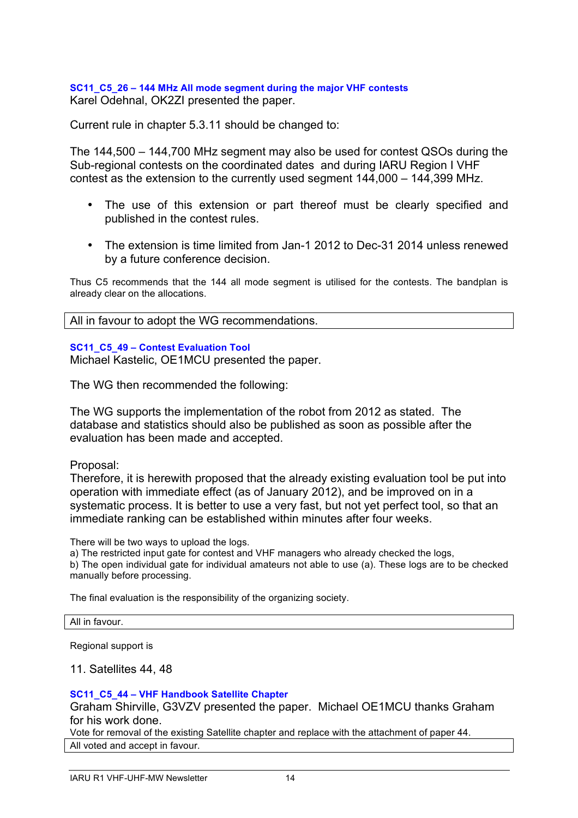# **SC11\_C5\_26 – 144 MHz All mode segment during the major VHF contests** Karel Odehnal, OK2ZI presented the paper.

Current rule in chapter 5.3.11 should be changed to:

The 144,500 – 144,700 MHz segment may also be used for contest QSOs during the Sub-regional contests on the coordinated dates and during IARU Region I VHF contest as the extension to the currently used segment 144,000 – 144,399 MHz.

- The use of this extension or part thereof must be clearly specified and published in the contest rules.
- The extension is time limited from Jan-1 2012 to Dec-31 2014 unless renewed by a future conference decision.

Thus C5 recommends that the 144 all mode segment is utilised for the contests. The bandplan is already clear on the allocations.

All in favour to adopt the WG recommendations.

### **SC11\_C5\_49 – Contest Evaluation Tool**

Michael Kastelic, OE1MCU presented the paper.

The WG then recommended the following:

The WG supports the implementation of the robot from 2012 as stated. The database and statistics should also be published as soon as possible after the evaluation has been made and accepted.

Proposal:

Therefore, it is herewith proposed that the already existing evaluation tool be put into operation with immediate effect (as of January 2012), and be improved on in a systematic process. It is better to use a very fast, but not yet perfect tool, so that an immediate ranking can be established within minutes after four weeks.

There will be two ways to upload the logs.

a) The restricted input gate for contest and VHF managers who already checked the logs, b) The open individual gate for individual amateurs not able to use (a). These logs are to be checked manually before processing.

The final evaluation is the responsibility of the organizing society.

#### All in favour.

Regional support is

### 11. Satellites 44, 48

### **SC11\_C5\_44 – VHF Handbook Satellite Chapter**

Graham Shirville, G3VZV presented the paper. Michael OE1MCU thanks Graham for his work done.

Vote for removal of the existing Satellite chapter and replace with the attachment of paper 44. All voted and accept in favour.